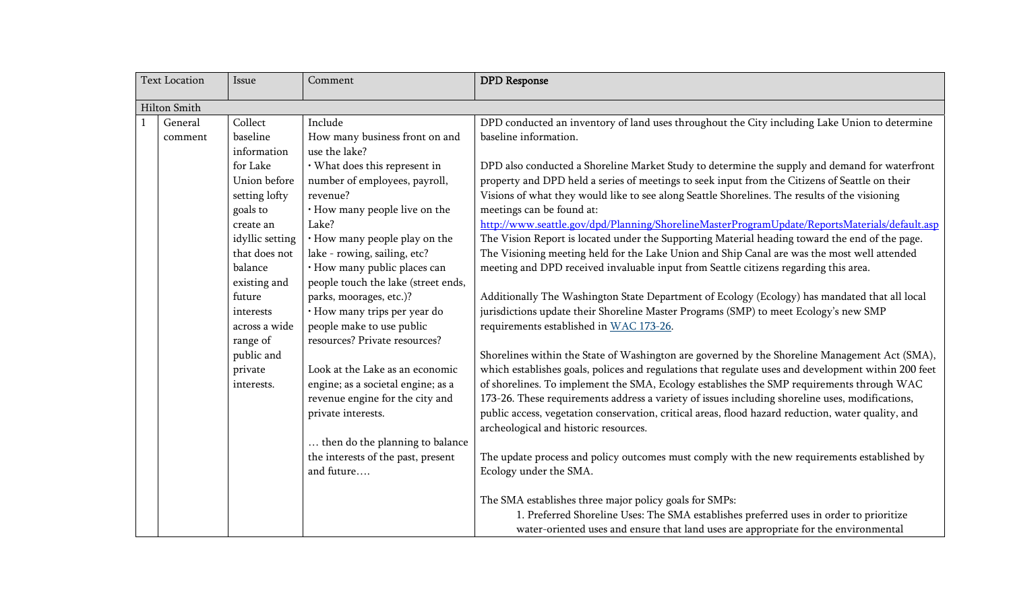| <b>Text Location</b> |                     | Issue                                                                                                                                                                                                          | Comment                                                                                                                                                                                                                                                                                                                                                                                                                  | <b>DPD</b> Response                                                                                                                                                                                                                                                                                                                                                                                                                                                                                                                                                                                                                                                                                                                                                                                                                                                                                                                                                                                                                                                                                                                                                 |
|----------------------|---------------------|----------------------------------------------------------------------------------------------------------------------------------------------------------------------------------------------------------------|--------------------------------------------------------------------------------------------------------------------------------------------------------------------------------------------------------------------------------------------------------------------------------------------------------------------------------------------------------------------------------------------------------------------------|---------------------------------------------------------------------------------------------------------------------------------------------------------------------------------------------------------------------------------------------------------------------------------------------------------------------------------------------------------------------------------------------------------------------------------------------------------------------------------------------------------------------------------------------------------------------------------------------------------------------------------------------------------------------------------------------------------------------------------------------------------------------------------------------------------------------------------------------------------------------------------------------------------------------------------------------------------------------------------------------------------------------------------------------------------------------------------------------------------------------------------------------------------------------|
|                      | <b>Hilton Smith</b> |                                                                                                                                                                                                                |                                                                                                                                                                                                                                                                                                                                                                                                                          |                                                                                                                                                                                                                                                                                                                                                                                                                                                                                                                                                                                                                                                                                                                                                                                                                                                                                                                                                                                                                                                                                                                                                                     |
|                      | General<br>comment  | Collect<br>baseline<br>information                                                                                                                                                                             | Include<br>How many business front on and<br>use the lake?                                                                                                                                                                                                                                                                                                                                                               | DPD conducted an inventory of land uses throughout the City including Lake Union to determine<br>baseline information.                                                                                                                                                                                                                                                                                                                                                                                                                                                                                                                                                                                                                                                                                                                                                                                                                                                                                                                                                                                                                                              |
|                      |                     | for Lake<br>Union before<br>setting lofty<br>goals to<br>create an<br>idyllic setting<br>that does not<br>balance<br>existing and<br>future<br>interests<br>across a wide<br>range of<br>public and<br>private | · What does this represent in<br>number of employees, payroll,<br>revenue?<br>· How many people live on the<br>Lake?<br>· How many people play on the<br>lake - rowing, sailing, etc?<br>· How many public places can<br>people touch the lake (street ends,<br>parks, moorages, etc.)?<br>· How many trips per year do<br>people make to use public<br>resources? Private resources?<br>Look at the Lake as an economic | DPD also conducted a Shoreline Market Study to determine the supply and demand for waterfront<br>property and DPD held a series of meetings to seek input from the Citizens of Seattle on their<br>Visions of what they would like to see along Seattle Shorelines. The results of the visioning<br>meetings can be found at:<br>http://www.seattle.gov/dpd/Planning/ShorelineMasterProgramUpdate/ReportsMaterials/default.asp<br>The Vision Report is located under the Supporting Material heading toward the end of the page.<br>The Visioning meeting held for the Lake Union and Ship Canal are was the most well attended<br>meeting and DPD received invaluable input from Seattle citizens regarding this area.<br>Additionally The Washington State Department of Ecology (Ecology) has mandated that all local<br>jurisdictions update their Shoreline Master Programs (SMP) to meet Ecology's new SMP<br>requirements established in WAC 173-26.<br>Shorelines within the State of Washington are governed by the Shoreline Management Act (SMA),<br>which establishes goals, polices and regulations that regulate uses and development within 200 feet |
|                      |                     | interests.                                                                                                                                                                                                     | engine; as a societal engine; as a<br>revenue engine for the city and<br>private interests.<br>then do the planning to balance<br>the interests of the past, present<br>and future                                                                                                                                                                                                                                       | of shorelines. To implement the SMA, Ecology establishes the SMP requirements through WAC<br>173-26. These requirements address a variety of issues including shoreline uses, modifications,<br>public access, vegetation conservation, critical areas, flood hazard reduction, water quality, and<br>archeological and historic resources.<br>The update process and policy outcomes must comply with the new requirements established by<br>Ecology under the SMA.<br>The SMA establishes three major policy goals for SMPs:<br>1. Preferred Shoreline Uses: The SMA establishes preferred uses in order to prioritize<br>water-oriented uses and ensure that land uses are appropriate for the environmental                                                                                                                                                                                                                                                                                                                                                                                                                                                     |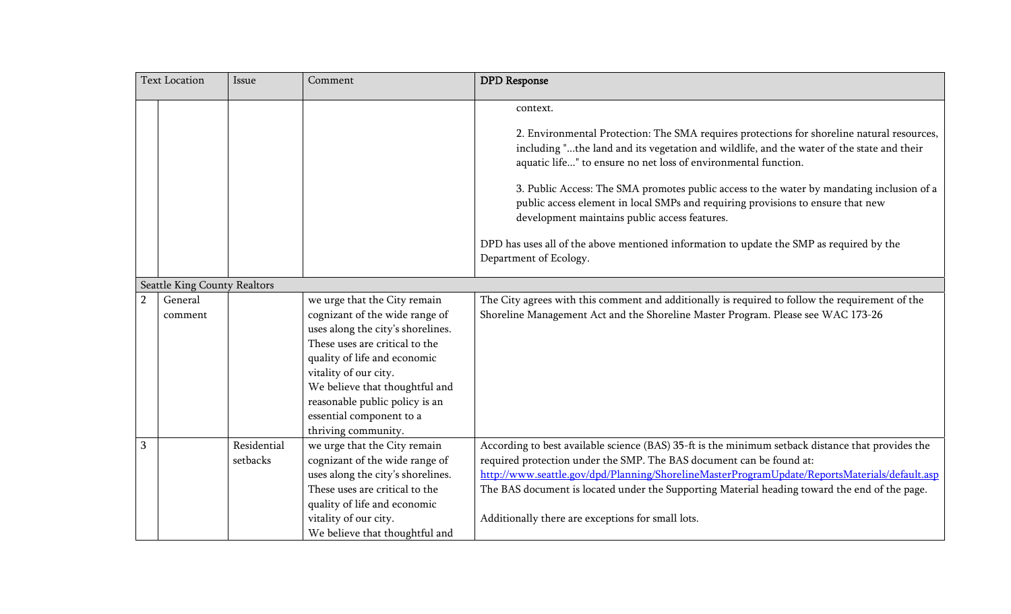| <b>Text Location</b> |                              | Issue                   | Comment                                                                                                                                                                                                                                                                                                               | <b>DPD</b> Response                                                                                                                                                                                                                                                                                                                                                                                                                                                                                                                                                                                                          |
|----------------------|------------------------------|-------------------------|-----------------------------------------------------------------------------------------------------------------------------------------------------------------------------------------------------------------------------------------------------------------------------------------------------------------------|------------------------------------------------------------------------------------------------------------------------------------------------------------------------------------------------------------------------------------------------------------------------------------------------------------------------------------------------------------------------------------------------------------------------------------------------------------------------------------------------------------------------------------------------------------------------------------------------------------------------------|
|                      |                              |                         |                                                                                                                                                                                                                                                                                                                       | context.<br>2. Environmental Protection: The SMA requires protections for shoreline natural resources,<br>including "the land and its vegetation and wildlife, and the water of the state and their<br>aquatic life" to ensure no net loss of environmental function.<br>3. Public Access: The SMA promotes public access to the water by mandating inclusion of a<br>public access element in local SMPs and requiring provisions to ensure that new<br>development maintains public access features.<br>DPD has uses all of the above mentioned information to update the SMP as required by the<br>Department of Ecology. |
|                      | Seattle King County Realtors |                         |                                                                                                                                                                                                                                                                                                                       |                                                                                                                                                                                                                                                                                                                                                                                                                                                                                                                                                                                                                              |
| $\overline{2}$       | General<br>comment           |                         | we urge that the City remain<br>cognizant of the wide range of<br>uses along the city's shorelines.<br>These uses are critical to the<br>quality of life and economic<br>vitality of our city.<br>We believe that thoughtful and<br>reasonable public policy is an<br>essential component to a<br>thriving community. | The City agrees with this comment and additionally is required to follow the requirement of the<br>Shoreline Management Act and the Shoreline Master Program. Please see WAC 173-26                                                                                                                                                                                                                                                                                                                                                                                                                                          |
| 3                    |                              | Residential<br>setbacks | we urge that the City remain<br>cognizant of the wide range of<br>uses along the city's shorelines.<br>These uses are critical to the<br>quality of life and economic<br>vitality of our city.<br>We believe that thoughtful and                                                                                      | According to best available science (BAS) 35-ft is the minimum setback distance that provides the<br>required protection under the SMP. The BAS document can be found at:<br>http://www.seattle.gov/dpd/Planning/ShorelineMasterProgramUpdate/ReportsMaterials/default.asp<br>The BAS document is located under the Supporting Material heading toward the end of the page.<br>Additionally there are exceptions for small lots.                                                                                                                                                                                             |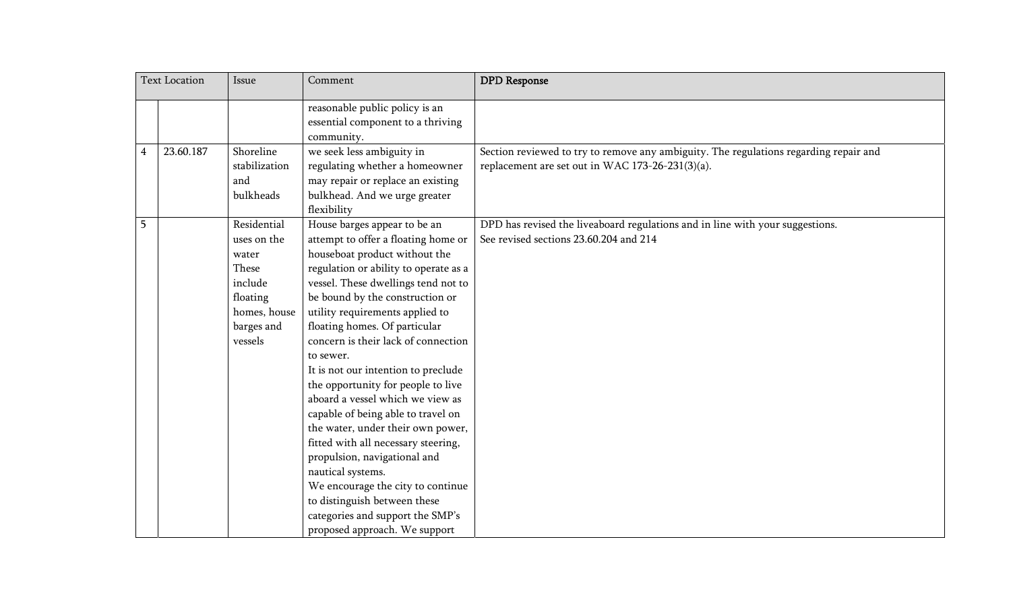| <b>Text Location</b> |           | Issue                                                                                                        | Comment                                                                                                                                                                                                                                                                                                                                                                                                                                                                                                                                                                                                                                                                                                                                                                           | <b>DPD</b> Response                                                                                                                       |
|----------------------|-----------|--------------------------------------------------------------------------------------------------------------|-----------------------------------------------------------------------------------------------------------------------------------------------------------------------------------------------------------------------------------------------------------------------------------------------------------------------------------------------------------------------------------------------------------------------------------------------------------------------------------------------------------------------------------------------------------------------------------------------------------------------------------------------------------------------------------------------------------------------------------------------------------------------------------|-------------------------------------------------------------------------------------------------------------------------------------------|
|                      |           |                                                                                                              | reasonable public policy is an<br>essential component to a thriving<br>community.                                                                                                                                                                                                                                                                                                                                                                                                                                                                                                                                                                                                                                                                                                 |                                                                                                                                           |
| $\overline{4}$       | 23.60.187 | Shoreline<br>stabilization<br>and<br>bulkheads                                                               | we seek less ambiguity in<br>regulating whether a homeowner<br>may repair or replace an existing<br>bulkhead. And we urge greater<br>flexibility                                                                                                                                                                                                                                                                                                                                                                                                                                                                                                                                                                                                                                  | Section reviewed to try to remove any ambiguity. The regulations regarding repair and<br>replacement are set out in WAC 173-26-231(3)(a). |
| 5                    |           | Residential<br>uses on the<br>water<br>These<br>include<br>floating<br>homes, house<br>barges and<br>vessels | House barges appear to be an<br>attempt to offer a floating home or<br>houseboat product without the<br>regulation or ability to operate as a<br>vessel. These dwellings tend not to<br>be bound by the construction or<br>utility requirements applied to<br>floating homes. Of particular<br>concern is their lack of connection<br>to sewer.<br>It is not our intention to preclude<br>the opportunity for people to live<br>aboard a vessel which we view as<br>capable of being able to travel on<br>the water, under their own power,<br>fitted with all necessary steering,<br>propulsion, navigational and<br>nautical systems.<br>We encourage the city to continue<br>to distinguish between these<br>categories and support the SMP's<br>proposed approach. We support | DPD has revised the liveaboard regulations and in line with your suggestions.<br>See revised sections 23.60.204 and 214                   |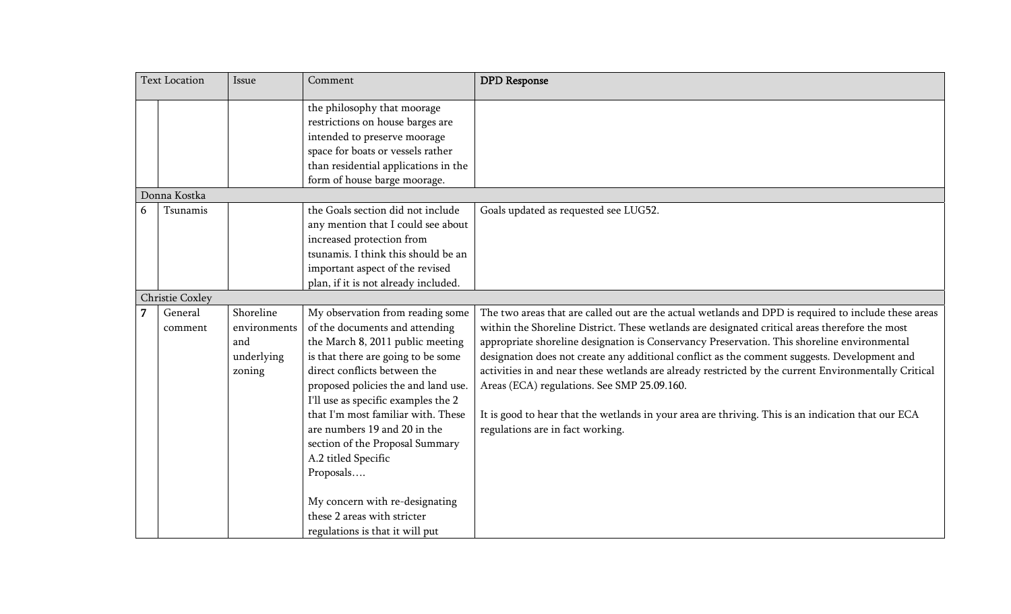| <b>Text Location</b> |                    | Issue                                                    | Comment                                                                                                                                                                                                                                                                                                                                                                                                                                                                                                     | <b>DPD</b> Response                                                                                                                                                                                                                                                                                                                                                                                                                                                                                                                                                                                                                                                                                    |
|----------------------|--------------------|----------------------------------------------------------|-------------------------------------------------------------------------------------------------------------------------------------------------------------------------------------------------------------------------------------------------------------------------------------------------------------------------------------------------------------------------------------------------------------------------------------------------------------------------------------------------------------|--------------------------------------------------------------------------------------------------------------------------------------------------------------------------------------------------------------------------------------------------------------------------------------------------------------------------------------------------------------------------------------------------------------------------------------------------------------------------------------------------------------------------------------------------------------------------------------------------------------------------------------------------------------------------------------------------------|
|                      |                    |                                                          | the philosophy that moorage<br>restrictions on house barges are<br>intended to preserve moorage<br>space for boats or vessels rather<br>than residential applications in the<br>form of house barge moorage.                                                                                                                                                                                                                                                                                                |                                                                                                                                                                                                                                                                                                                                                                                                                                                                                                                                                                                                                                                                                                        |
|                      | Donna Kostka       |                                                          |                                                                                                                                                                                                                                                                                                                                                                                                                                                                                                             |                                                                                                                                                                                                                                                                                                                                                                                                                                                                                                                                                                                                                                                                                                        |
| 6                    | Tsunamis           |                                                          | the Goals section did not include<br>any mention that I could see about<br>increased protection from<br>tsunamis. I think this should be an<br>important aspect of the revised<br>plan, if it is not already included.                                                                                                                                                                                                                                                                                      | Goals updated as requested see LUG52.                                                                                                                                                                                                                                                                                                                                                                                                                                                                                                                                                                                                                                                                  |
|                      | Christie Coxley    |                                                          |                                                                                                                                                                                                                                                                                                                                                                                                                                                                                                             |                                                                                                                                                                                                                                                                                                                                                                                                                                                                                                                                                                                                                                                                                                        |
| 7                    | General<br>comment | Shoreline<br>environments<br>and<br>underlying<br>zoning | My observation from reading some<br>of the documents and attending<br>the March 8, 2011 public meeting<br>is that there are going to be some<br>direct conflicts between the<br>proposed policies the and land use.<br>I'll use as specific examples the 2<br>that I'm most familiar with. These<br>are numbers 19 and 20 in the<br>section of the Proposal Summary<br>A.2 titled Specific<br>Proposals<br>My concern with re-designating<br>these 2 areas with stricter<br>regulations is that it will put | The two areas that are called out are the actual wetlands and DPD is required to include these areas<br>within the Shoreline District. These wetlands are designated critical areas therefore the most<br>appropriate shoreline designation is Conservancy Preservation. This shoreline environmental<br>designation does not create any additional conflict as the comment suggests. Development and<br>activities in and near these wetlands are already restricted by the current Environmentally Critical<br>Areas (ECA) regulations. See SMP 25.09.160.<br>It is good to hear that the wetlands in your area are thriving. This is an indication that our ECA<br>regulations are in fact working. |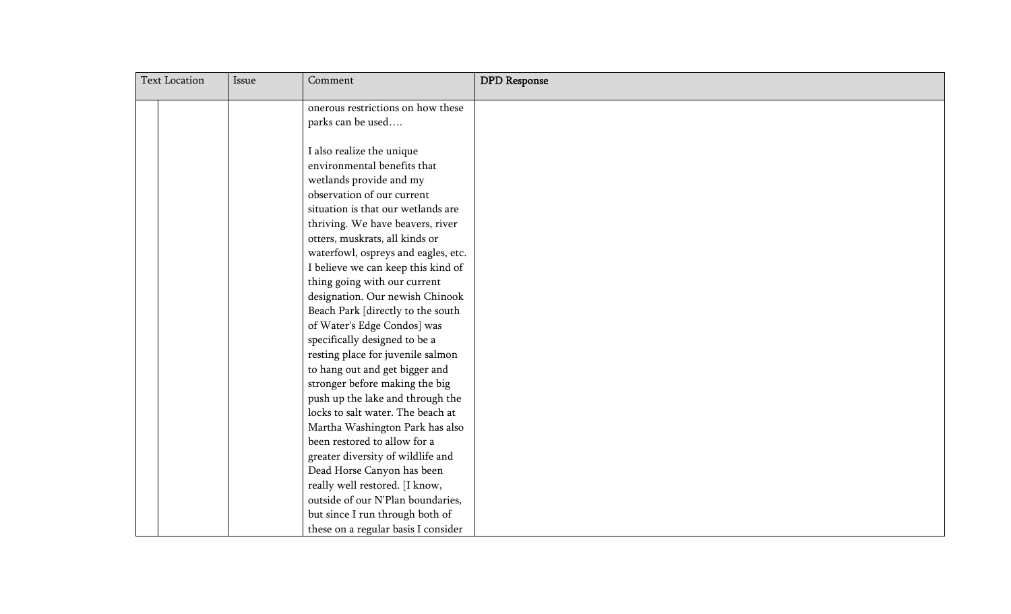| <b>Text Location</b> |  | Issue | Comment                             | <b>DPD</b> Response |
|----------------------|--|-------|-------------------------------------|---------------------|
|                      |  |       | onerous restrictions on how these   |                     |
|                      |  |       | parks can be used                   |                     |
|                      |  |       |                                     |                     |
|                      |  |       | I also realize the unique           |                     |
|                      |  |       | environmental benefits that         |                     |
|                      |  |       | wetlands provide and my             |                     |
|                      |  |       | observation of our current          |                     |
|                      |  |       | situation is that our wetlands are  |                     |
|                      |  |       | thriving. We have beavers, river    |                     |
|                      |  |       | otters, muskrats, all kinds or      |                     |
|                      |  |       | waterfowl, ospreys and eagles, etc. |                     |
|                      |  |       | I believe we can keep this kind of  |                     |
|                      |  |       | thing going with our current        |                     |
|                      |  |       | designation. Our newish Chinook     |                     |
|                      |  |       | Beach Park [directly to the south   |                     |
|                      |  |       | of Water's Edge Condos] was         |                     |
|                      |  |       | specifically designed to be a       |                     |
|                      |  |       | resting place for juvenile salmon   |                     |
|                      |  |       | to hang out and get bigger and      |                     |
|                      |  |       | stronger before making the big      |                     |
|                      |  |       | push up the lake and through the    |                     |
|                      |  |       | locks to salt water. The beach at   |                     |
|                      |  |       | Martha Washington Park has also     |                     |
|                      |  |       | been restored to allow for a        |                     |
|                      |  |       | greater diversity of wildlife and   |                     |
|                      |  |       | Dead Horse Canyon has been          |                     |
|                      |  |       | really well restored. [I know,      |                     |
|                      |  |       | outside of our N'Plan boundaries,   |                     |
|                      |  |       | but since I run through both of     |                     |
|                      |  |       | these on a regular basis I consider |                     |